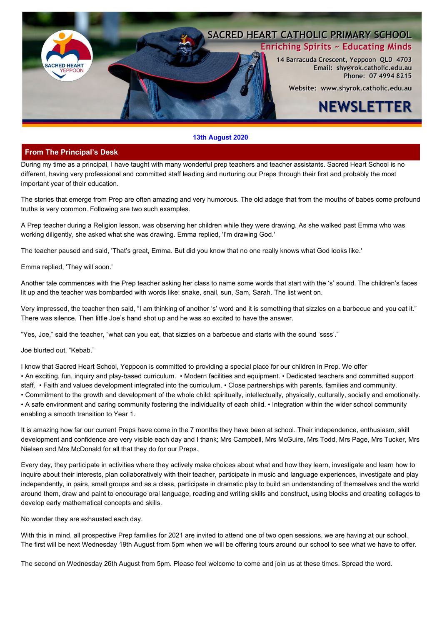

#### **13th August 2020**

## **From The Principal's Desk**

During my time as a principal, I have taught with many wonderful prep teachers and teacher assistants. Sacred Heart School is no different, having very professional and committed staff leading and nurturing our Preps through their first and probably the most important year of their education.

The stories that emerge from Prep are often amazing and very humorous. The old adage that from the mouths of babes come profound truths is very common. Following are two such examples.

A Prep teacher during a Religion lesson, was observing her children while they were drawing. As she walked past Emma who was working diligently, she asked what she was drawing. Emma replied, 'I'm drawing God.'

The teacher paused and said, 'That's great, Emma. But did you know that no one really knows what God looks like.'

Emma replied, 'They will soon.'

Another tale commences with the Prep teacher asking her class to name some words that start with the 's' sound. The children's faces lit up and the teacher was bombarded with words like: snake, snail, sun, Sam, Sarah. The list went on.

Very impressed, the teacher then said, "I am thinking of another 's' word and it is something that sizzles on a barbecue and you eat it." There was silence. Then little Joe's hand shot up and he was so excited to have the answer.

"Yes, Joe," said the teacher, "what can you eat, that sizzles on a barbecue and starts with the sound 'ssss'."

Joe blurted out, "Kebab."

I know that Sacred Heart School, Yeppoon is committed to providing a special place for our children in Prep. We offer • An exciting, fun, inquiry and play-based curriculum. • Modern facilities and equipment. • Dedicated teachers and committed support staff. • Faith and values development integrated into the curriculum. • Close partnerships with parents, families and community. • Commitment to the growth and development of the whole child: spiritually, intellectually, physically, culturally, socially and emotionally. • A safe environment and caring community fostering the individuality of each child. • Integration within the wider school community enabling a smooth transition to Year 1.

It is amazing how far our current Preps have come in the 7 months they have been at school. Their independence, enthusiasm, skill development and confidence are very visible each day and I thank; Mrs Campbell, Mrs McGuire, Mrs Todd, Mrs Page, Mrs Tucker, Mrs Nielsen and Mrs McDonald for all that they do for our Preps.

Every day, they participate in activities where they actively make choices about what and how they learn, investigate and learn how to inquire about their interests, plan collaboratively with their teacher, participate in music and language experiences, investigate and play independently, in pairs, small groups and as a class, participate in dramatic play to build an understanding of themselves and the world around them, draw and paint to encourage oral language, reading and writing skills and construct, using blocks and creating collages to develop early mathematical concepts and skills.

No wonder they are exhausted each day.

With this in mind, all prospective Prep families for 2021 are invited to attend one of two open sessions, we are having at our school. The first will be next Wednesday 19th August from 5pm when we will be offering tours around our school to see what we have to offer.

The second on Wednesday 26th August from 5pm. Please feel welcome to come and join us at these times. Spread the word.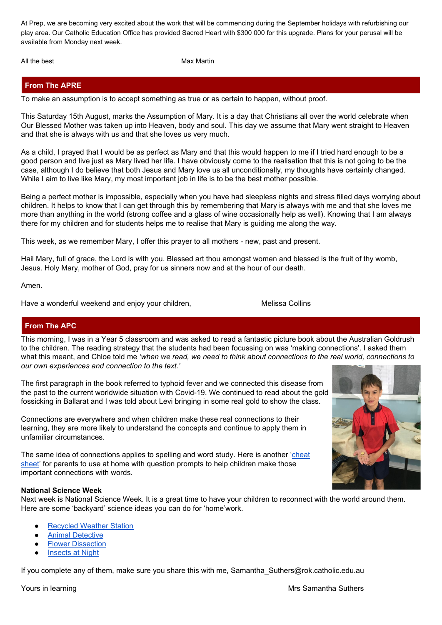At Prep, we are becoming very excited about the work that will be commencing during the September holidays with refurbishing our play area. Our Catholic Education Office has provided Sacred Heart with \$300 000 for this upgrade. Plans for your perusal will be available from Monday next week.

All the best **Max Martin** Max Martin

# **From The APRE**

To make an assumption is to accept something as true or as certain to happen, without proof.

This Saturday 15th August, marks the Assumption of Mary. It is a day that Christians all over the world celebrate when Our Blessed Mother was taken up into Heaven, body and soul. This day we assume that Mary went straight to Heaven and that she is always with us and that she loves us very much.

As a child, I prayed that I would be as perfect as Mary and that this would happen to me if I tried hard enough to be a good person and live just as Mary lived her life. I have obviously come to the realisation that this is not going to be the case, although I do believe that both Jesus and Mary love us all unconditionally, my thoughts have certainly changed. While I aim to live like Mary, my most important job in life is to be the best mother possible.

Being a perfect mother is impossible, especially when you have had sleepless nights and stress filled days worrying about children. It helps to know that I can get through this by remembering that Mary is always with me and that she loves me more than anything in the world (strong coffee and a glass of wine occasionally help as well). Knowing that I am always there for my children and for students helps me to realise that Mary is guiding me along the way.

This week, as we remember Mary, I offer this prayer to all mothers - new, past and present.

Hail Mary, full of grace, the Lord is with you. Blessed art thou amongst women and blessed is the fruit of thy womb, Jesus. Holy Mary, mother of God, pray for us sinners now and at the hour of our death.

Amen.

Have a wonderful weekend and enjoy your children, Mallow Melissa Collins

# **From The APC**

This morning, I was in a Year 5 classroom and was asked to read a fantastic picture book about the Australian Goldrush to the children. The reading strategy that the students had been focussing on was 'making connections'. I asked them what this meant, and Chloe told me *'when we read, we need to think about connections to the real world, connections to our own experiences and connection to the text.'*

The first paragraph in the book referred to typhoid fever and we connected this disease from the past to the current worldwide situation with Covid-19. We continued to read about the gold fossicking in Ballarat and I was told about Levi bringing in some real gold to show the class.

Connections are everywhere and when children make these real connections to their learning, they are more likely to understand the concepts and continue to apply them in unfamiliar circumstances.

The same idea of connections applies to spelling and word study. Here is another '[cheat](https://drive.google.com/file/d/1CuxJk6HPYIvhFt1cqvg28w-pT1nE4th4/view?usp=sharing) [sheet'](https://drive.google.com/file/d/1CuxJk6HPYIvhFt1cqvg28w-pT1nE4th4/view?usp=sharing) for parents to use at home with question prompts to help children make those important connections with words.

## **National Science Week**

Next week is National Science Week. It is a great time to have your children to reconnect with the world around them. Here are some 'backyard' science ideas you can do for 'home'work.

- **[Recycled](https://www.scienceweek.net.au/wp-content/uploads/2020/07/DIYScienceWeatherStation.pdf) Weather Station**
- **Animal [Detective](https://www.scienceweek.net.au/wp-content/uploads/2020/07/DIYScienceAnimalDetective.pdf)**
- **Flower [Dissection](https://www.scienceweek.net.au/wp-content/uploads/2020/07/DIYScienceFlowerDissection.pdf)**
- **[Insects](https://www.scienceweek.net.au/wp-content/uploads/2020/07/DIYScienceInsectsatNight.pdf) at Night**

If you complete any of them, make sure you share this with me, Samantha\_Suthers@rok.catholic.edu.au

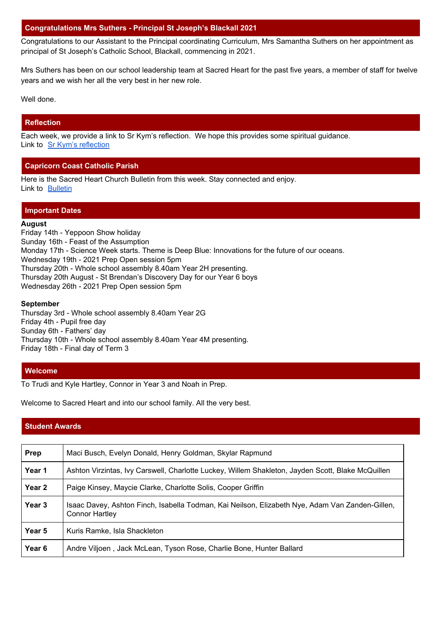## **Congratulations Mrs Suthers - Principal St Joseph's Blackall 2021**

Congratulations to our Assistant to the Principal coordinating Curriculum, Mrs Samantha Suthers on her appointment as principal of St Joseph's Catholic School, Blackall, commencing in 2021.

Mrs Suthers has been on our school leadership team at Sacred Heart for the past five years, a member of staff for twelve years and we wish her all the very best in her new role.

Well done.

## **Reflection**

Each week, we provide a link to Sr Kym's reflection. We hope this provides some spiritual guidance. Link to Sr Kym's [reflection](https://drive.google.com/file/d/16ShOdF3js6qgHbS00BQmAAlr64gY0kgE/view?usp=sharing)

# **Capricorn Coast Catholic Parish**

Here is the Sacred Heart Church Bulletin from this week. Stay connected and enjoy. Link to [Bulletin](https://drive.google.com/file/d/1TWn54m52iwH6aP0RlvBRhhErdV1WzyEF/view?usp=sharing)

#### **Important Dates**

#### **August**

Friday 14th - Yeppoon Show holiday Sunday 16th - Feast of the Assumption Monday 17th - Science Week starts. Theme is Deep Blue: Innovations for the future of our oceans. Wednesday 19th - 2021 Prep Open session 5pm Thursday 20th - Whole school assembly 8.40am Year 2H presenting. Thursday 20th August - St Brendan's Discovery Day for our Year 6 boys Wednesday 26th - 2021 Prep Open session 5pm

#### **September**

Thursday 3rd - Whole school assembly 8.40am Year 2G Friday 4th - Pupil free day Sunday 6th - Fathers' day Thursday 10th - Whole school assembly 8.40am Year 4M presenting. Friday 18th - Final day of Term 3

#### **Welcome**

To Trudi and Kyle Hartley, Connor in Year 3 and Noah in Prep.

Welcome to Sacred Heart and into our school family. All the very best.

# **Student Awards**

| Prep              | Maci Busch, Evelyn Donald, Henry Goldman, Skylar Rapmund                                                          |
|-------------------|-------------------------------------------------------------------------------------------------------------------|
| Year 1            | Ashton Virzintas, Ivy Carswell, Charlotte Luckey, Willem Shakleton, Jayden Scott, Blake McQuillen                 |
| Year 2            | Paige Kinsey, Maycie Clarke, Charlotte Solis, Cooper Griffin                                                      |
| Year <sub>3</sub> | Isaac Davey, Ashton Finch, Isabella Todman, Kai Neilson, Elizabeth Nye, Adam Van Zanden-Gillen,<br>Connor Hartley |
| Year 5            | Kuris Ramke, Isla Shackleton                                                                                      |
| Year 6            | Andre Viljoen, Jack McLean, Tyson Rose, Charlie Bone, Hunter Ballard                                              |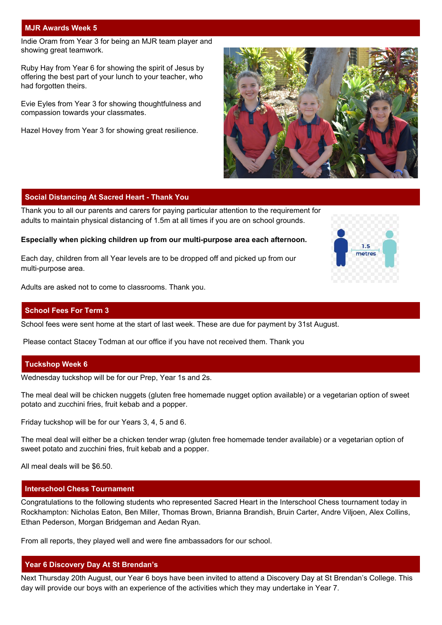#### **MJR Awards Week 5**

Indie Oram from Year 3 for being an MJR team player and showing great teamwork.

Ruby Hay from Year 6 for showing the spirit of Jesus by offering the best part of your lunch to your teacher, who had forgotten theirs.

Evie Eyles from Year 3 for showing thoughtfulness and compassion towards your classmates.

Hazel Hovey from Year 3 for showing great resilience.



#### **Social Distancing At Sacred Heart - Thank You**

Thank you to all our parents and carers for paying particular attention to the requirement for adults to maintain physical distancing of 1.5m at all times if you are on school grounds.

#### **Especially when picking children up from our multi-purpose area each afternoon.**

Each day, children from all Year levels are to be dropped off and picked up from our multi-purpose area.

Adults are asked not to come to classrooms. Thank you.

#### **School Fees For Term 3**

School fees were sent home at the start of last week. These are due for payment by 31st August.

Please contact Stacey Todman at our office if you have not received them. Thank you

#### **Tuckshop Week 6**

Wednesday tuckshop will be for our Prep, Year 1s and 2s.

The meal deal will be chicken nuggets (gluten free homemade nugget option available) or a vegetarian option of sweet potato and zucchini fries, fruit kebab and a popper.

Friday tuckshop will be for our Years 3, 4, 5 and 6.

The meal deal will either be a chicken tender wrap (gluten free homemade tender available) or a vegetarian option of sweet potato and zucchini fries, fruit kebab and a popper.

All meal deals will be \$6.50.

#### **Interschool Chess Tournament**

Congratulations to the following students who represented Sacred Heart in the Interschool Chess tournament today in Rockhampton: Nicholas Eaton, Ben Miller, Thomas Brown, Brianna Brandish, Bruin Carter, Andre Viljoen, Alex Collins, Ethan Pederson, Morgan Bridgeman and Aedan Ryan.

From all reports, they played well and were fine ambassadors for our school.

#### **Year 6 Discovery Day At St Brendan's**

Next Thursday 20th August, our Year 6 boys have been invited to attend a Discovery Day at St Brendan's College. This day will provide our boys with an experience of the activities which they may undertake in Year 7.

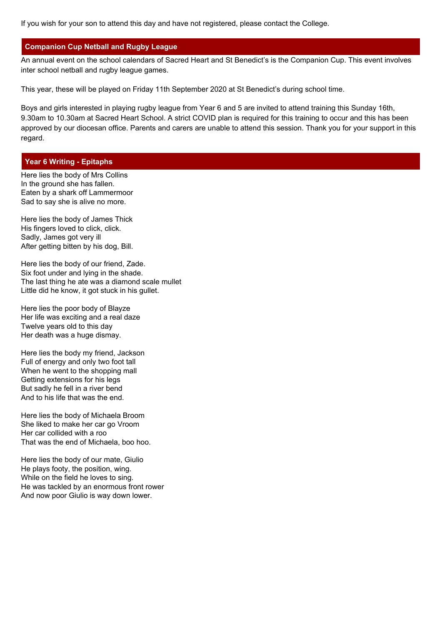If you wish for your son to attend this day and have not registered, please contact the College.

## **Companion Cup Netball and Rugby League**

An annual event on the school calendars of Sacred Heart and St Benedict's is the Companion Cup. This event involves inter school netball and rugby league games.

This year, these will be played on Friday 11th September 2020 at St Benedict's during school time.

Boys and girls interested in playing rugby league from Year 6 and 5 are invited to attend training this Sunday 16th, 9.30am to 10.30am at Sacred Heart School. A strict COVID plan is required for this training to occur and this has been approved by our diocesan office. Parents and carers are unable to attend this session. Thank you for your support in this regard.

## **Year 6 Writing - Epitaphs**

Here lies the body of Mrs Collins In the ground she has fallen. Eaten by a shark off Lammermoor Sad to say she is alive no more.

Here lies the body of James Thick His fingers loved to click, click. Sadly, James got very ill After getting bitten by his dog, Bill.

Here lies the body of our friend, Zade. Six foot under and lying in the shade. The last thing he ate was a diamond scale mullet Little did he know, it got stuck in his gullet.

Here lies the poor body of Blayze Her life was exciting and a real daze Twelve years old to this day Her death was a huge dismay.

Here lies the body my friend, Jackson Full of energy and only two foot tall When he went to the shopping mall Getting extensions for his legs But sadly he fell in a river bend And to his life that was the end.

Here lies the body of Michaela Broom She liked to make her car go Vroom Her car collided with a roo That was the end of Michaela, boo hoo.

Here lies the body of our mate, Giulio He plays footy, the position, wing. While on the field he loves to sing. He was tackled by an enormous front rower And now poor Giulio is way down lower.